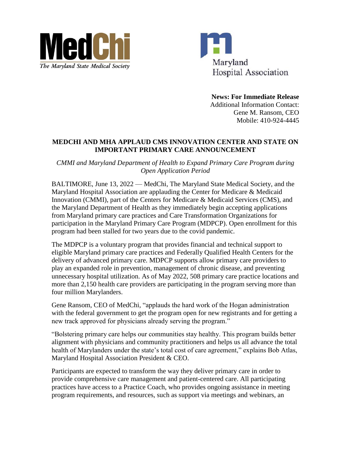



**News: For Immediate Release** Additional Information Contact: Gene M. Ransom, CEO Mobile: 410-924-4445

## **MEDCHI AND MHA APPLAUD CMS INNOVATION CENTER AND STATE ON IMPORTANT PRIMARY CARE ANNOUNCEMENT**

*CMMI and Maryland Department of Health to Expand Primary Care Program during Open Application Period*

BALTIMORE, June 13, 2022 — MedChi, The Maryland State Medical Society, and the Maryland Hospital Association are applauding the Center for Medicare & Medicaid Innovation (CMMI), part of the Centers for Medicare & Medicaid Services (CMS), and the Maryland Department of Health as they immediately begin accepting applications from Maryland primary care practices and Care Transformation Organizations for participation in the Maryland Primary Care Program (MDPCP). Open enrollment for this program had been stalled for two years due to the covid pandemic.

The MDPCP is a voluntary program that provides financial and technical support to eligible Maryland primary care practices and Federally Qualified Health Centers for the delivery of advanced primary care. MDPCP supports allow primary care providers to play an expanded role in prevention, management of chronic disease, and preventing unnecessary hospital utilization. As of May 2022, 508 primary care practice locations and more than 2,150 health care providers are participating in the program serving more than four million Marylanders.

Gene Ransom, CEO of MedChi, "applauds the hard work of the Hogan administration with the federal government to get the program open for new registrants and for getting a new track approved for physicians already serving the program."

"Bolstering primary care helps our communities stay healthy. This program builds better alignment with physicians and community practitioners and helps us all advance the total health of Marylanders under the state's total cost of care agreement," explains Bob Atlas, Maryland Hospital Association President & CEO.

Participants are expected to transform the way they deliver primary care in order to provide comprehensive care management and patient-centered care. All participating practices have access to a Practice Coach, who provides ongoing assistance in meeting program requirements, and resources, such as support via meetings and webinars, an